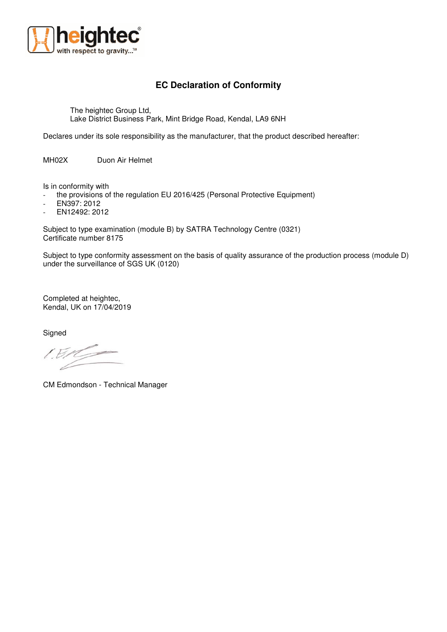

## **EC Declaration of Conformity**

The heightec Group Ltd, Lake District Business Park, Mint Bridge Road, Kendal, LA9 6NH

Declares under its sole responsibility as the manufacturer, that the product described hereafter:

MH02X Duon Air Helmet

Is in conformity with

- the provisions of the regulation EU 2016/425 (Personal Protective Equipment)

- EN397: 2012
- EN12492: 2012

Subject to type examination (module B) by SATRA Technology Centre (0321) Certificate number 8175

Subject to type conformity assessment on the basis of quality assurance of the production process (module D) under the surveillance of SGS UK (0120)

Completed at heightec, Kendal, UK on 17/04/2019

**Signed** 

CM Edmondson - Technical Manager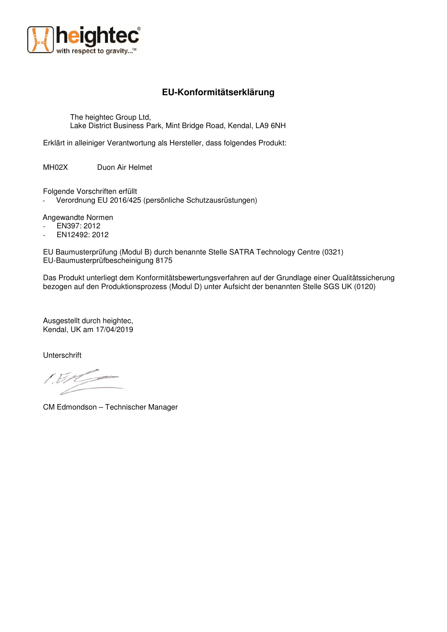

## **EU-Konformitätserklärung**

The heightec Group Ltd, Lake District Business Park, Mint Bridge Road, Kendal, LA9 6NH

Erklärt in alleiniger Verantwortung als Hersteller, dass folgendes Produkt:

MH02X Duon Air Helmet

Folgende Vorschriften erfüllt

Verordnung EU 2016/425 (persönliche Schutzausrüstungen)

Angewandte Normen

- EN397: 2012
- EN12492: 2012

EU Baumusterprüfung (Modul B) durch benannte Stelle SATRA Technology Centre (0321) EU-Baumusterprüfbescheinigung 8175

Das Produkt unterliegt dem Konformitätsbewertungsverfahren auf der Grundlage einer Qualitätssicherung bezogen auf den Produktionsprozess (Modul D) unter Aufsicht der benannten Stelle SGS UK (0120)

Ausgestellt durch heightec, Kendal, UK am 17/04/2019

**Unterschrift** 

IER

CM Edmondson – Technischer Manager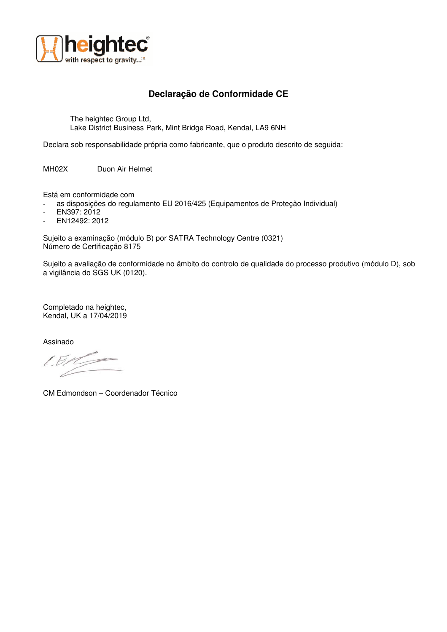

## **Declaração de Conformidade CE**

The heightec Group Ltd, Lake District Business Park, Mint Bridge Road, Kendal, LA9 6NH

Declara sob responsabilidade própria como fabricante, que o produto descrito de seguida:

MH02X Duon Air Helmet

Está em conformidade com

- as disposições do regulamento EU 2016/425 (Equipamentos de Proteção Individual)
- EN397: 2012
- EN12492: 2012

Sujeito a examinação (módulo B) por SATRA Technology Centre (0321) Número de Certificação 8175

Sujeito a avaliação de conformidade no âmbito do controlo de qualidade do processo produtivo (módulo D), sob a vigilância do SGS UK (0120).

Completado na heightec, Kendal, UK a 17/04/2019

Assinado

 $LEM$  $\rightarrow$ 

CM Edmondson – Coordenador Técnico